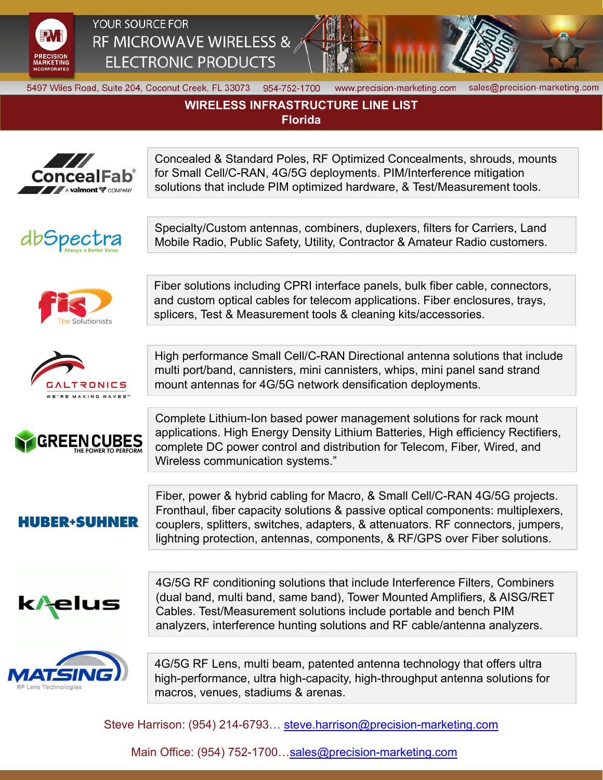

YOUR SOURCE FOR RF MICROWAVE WIRELESS & **ELECTRONIC PRODUCTS** 



5497 Wiles Road, Suite 204, Coconut Creek, FL 33073 954-752-1700

www.precision-marketing.com

sales@precision-marketing.com

## **WIRELESS INFRASTRUCTURE LINE LIST Florida**